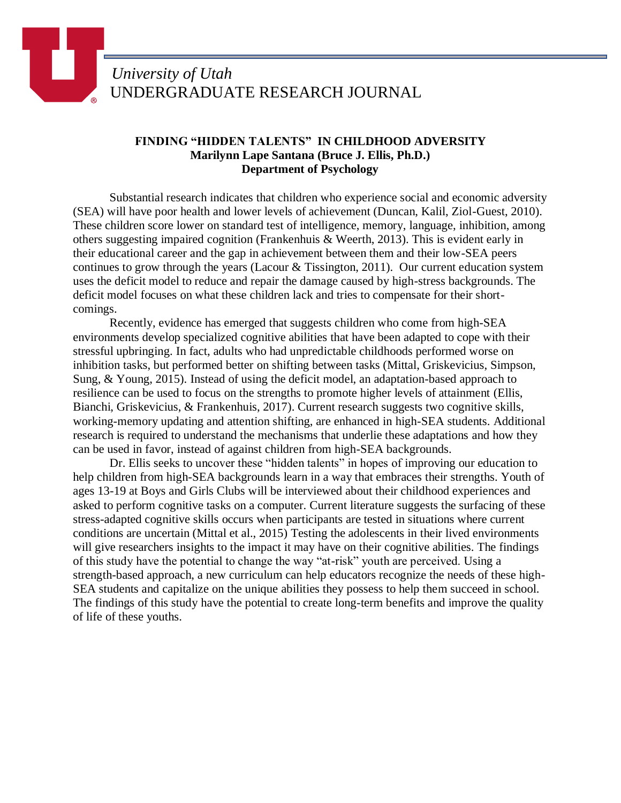## **FINDING "HIDDEN TALENTS" IN CHILDHOOD ADVERSITY Marilynn Lape Santana (Bruce J. Ellis, Ph.D.) Department of Psychology**

Substantial research indicates that children who experience social and economic adversity (SEA) will have poor health and lower levels of achievement (Duncan, Kalil, Ziol-Guest, 2010). These children score lower on standard test of intelligence, memory, language, inhibition, among others suggesting impaired cognition (Frankenhuis & Weerth, 2013). This is evident early in their educational career and the gap in achievement between them and their low-SEA peers continues to grow through the years (Lacour & Tissington, 2011). Our current education system uses the deficit model to reduce and repair the damage caused by high-stress backgrounds. The deficit model focuses on what these children lack and tries to compensate for their shortcomings.

Recently, evidence has emerged that suggests children who come from high-SEA environments develop specialized cognitive abilities that have been adapted to cope with their stressful upbringing. In fact, adults who had unpredictable childhoods performed worse on inhibition tasks, but performed better on shifting between tasks (Mittal, Griskevicius, Simpson, Sung, & Young, 2015). Instead of using the deficit model, an adaptation-based approach to resilience can be used to focus on the strengths to promote higher levels of attainment (Ellis, Bianchi, Griskevicius, & Frankenhuis, 2017). Current research suggests two cognitive skills, working-memory updating and attention shifting, are enhanced in high-SEA students. Additional research is required to understand the mechanisms that underlie these adaptations and how they can be used in favor, instead of against children from high-SEA backgrounds.

Dr. Ellis seeks to uncover these "hidden talents" in hopes of improving our education to help children from high-SEA backgrounds learn in a way that embraces their strengths. Youth of ages 13-19 at Boys and Girls Clubs will be interviewed about their childhood experiences and asked to perform cognitive tasks on a computer. Current literature suggests the surfacing of these stress-adapted cognitive skills occurs when participants are tested in situations where current conditions are uncertain (Mittal et al., 2015) Testing the adolescents in their lived environments will give researchers insights to the impact it may have on their cognitive abilities. The findings of this study have the potential to change the way "at-risk" youth are perceived. Using a strength-based approach, a new curriculum can help educators recognize the needs of these high-SEA students and capitalize on the unique abilities they possess to help them succeed in school. The findings of this study have the potential to create long-term benefits and improve the quality of life of these youths.